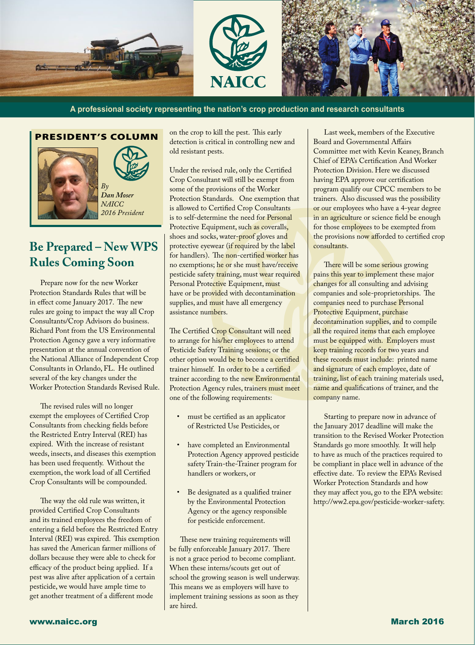





**A professional society representing the nation's crop production and research consultants**

#### PRESIDENT'S COLUMN



l,

## **Be Prepared – New WPS Rules Coming Soon**

Prepare now for the new Worker Protection Standards Rules that will be in effect come January 2017. The new rules are going to impact the way all Crop Consultants/Crop Advisors do business. Richard Pont from the US Environmental Protection Agency gave a very informative presentation at the annual convention of the National Alliance of Independent Crop Consultants in Orlando, FL. He outlined several of the key changes under the Worker Protection Standards Revised Rule.

The revised rules will no longer exempt the employees of Certified Crop Consultants from checking fields before the Restricted Entry Interval (REI) has expired. With the increase of resistant weeds, insects, and diseases this exemption has been used frequently. Without the exemption, the work load of all Certified Crop Consultants will be compounded.

The way the old rule was written, it provided Certified Crop Consultants and its trained employees the freedom of entering a field before the Restricted Entry Interval (REI) was expired. This exemption has saved the American farmer millions of dollars because they were able to check for efficacy of the product being applied. If a pest was alive after application of a certain pesticide, we would have ample time to get another treatment of a different mode

on the crop to kill the pest. This early detection is critical in controlling new and old resistant pests.

Under the revised rule, only the Certified Crop Consultant will still be exempt from some of the provisions of the Worker Protection Standards. One exemption that is allowed to Certified Crop Consultants is to self-determine the need for Personal Protective Equipment, such as coveralls, shoes and socks, water-proof gloves and protective eyewear (if required by the label for handlers). The non-certified worker has no exemptions; he or she must have/receive pesticide safety training, must wear required Personal Protective Equipment, must have or be provided with decontamination supplies, and must have all emergency assistance numbers.

The Certified Crop Consultant will need to arrange for his/her employees to attend Pesticide Safety Training sessions; or the other option would be to become a certified trainer himself. In order to be a certified trainer according to the new Environmental Protection Agency rules, trainers must meet one of the following requirements:

- must be certified as an applicator of Restricted Use Pesticides, or
- have completed an Environmental Protection Agency approved pesticide safety Train-the-Trainer program for handlers or workers, or
- Be designated as a qualified trainer by the Environmental Protection Agency or the agency responsible for pesticide enforcement.

These new training requirements will be fully enforceable January 2017. There is not a grace period to become compliant. When these interns/scouts get out of school the growing season is well underway. This means we as employers will have to implement training sessions as soon as they are hired.

Last week, members of the Executive Board and Governmental Affairs Committee met with Kevin Keaney, Branch Chief of EPA's Certification And Worker Protection Division. Here we discussed having EPA approve our certification program qualify our CPCC members to be trainers. Also discussed was the possibility or our employees who have a 4-year degree in an agriculture or science field be enough for those employees to be exempted from the provisions now afforded to certified crop consultants.

There will be some serious growing pains this year to implement these major changes for all consulting and advising companies and sole-proprietorships. The companies need to purchase Personal Protective Equipment, purchase decontamination supplies, and to compile all the required items that each employee must be equipped with. Employers must keep training records for two years and these records must include: printed name and signature of each employee, date of training, list of each training materials used, name and qualifications of trainer, and the company name.

Starting to prepare now in advance of the January 2017 deadline will make the transition to the Revised Worker Protection Standards go more smoothly. It will help to have as much of the practices required to be compliant in place well in advance of the effective date. To review the EPA's Revised Worker Protection Standards and how they may affect you, go to the EPA website: http://ww2.epa.gov/pesticide-worker-safety.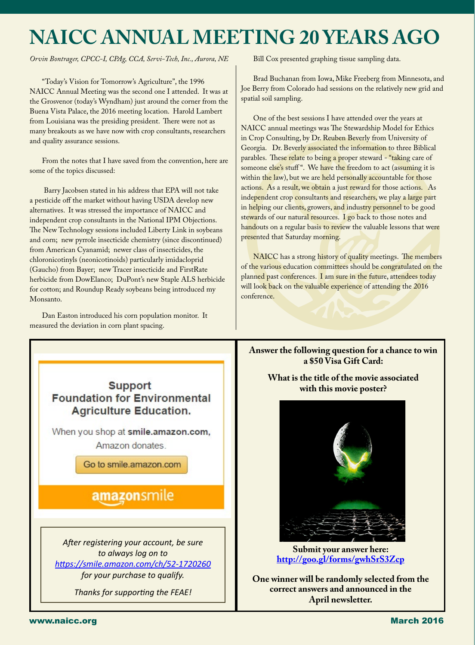# **NAICC ANNUAL MEETING 20 YEARS AGO**

*Orvin Bontrager, CPCC-I, CPAg, CCA, Servi-Tech, Inc., Aurora, NE*

"Today's Vision for Tomorrow's Agriculture", the 1996 NAICC Annual Meeting was the second one I attended. It was at the Grosvenor (today's Wyndham) just around the corner from the Buena Vista Palace, the 2016 meeting location. Harold Lambert from Louisiana was the presiding president. There were not as many breakouts as we have now with crop consultants, researchers and quality assurance sessions.

From the notes that I have saved from the convention, here are some of the topics discussed:

 Barry Jacobsen stated in his address that EPA will not take a pesticide off the market without having USDA develop new alternatives. It was stressed the importance of NAICC and independent crop consultants in the National IPM Objections. The New Technology sessions included Liberty Link in soybeans and corn; new pyrrole insecticide chemistry (since discontinued) from American Cyanamid; newer class of insecticides, the chloronicotinyls (neonicotinoids) particularly imidacloprid (Gaucho) from Bayer; new Tracer insecticide and FirstRate herbicide from DowElanco; DuPont's new Staple ALS herbicide for cotton; and Roundup Ready soybeans being introduced my Monsanto.

Dan Easton introduced his corn population monitor. It measured the deviation in corn plant spacing.

Bill Cox presented graphing tissue sampling data.

Brad Buchanan from Iowa, Mike Freeberg from Minnesota, and Joe Berry from Colorado had sessions on the relatively new grid and spatial soil sampling.

One of the best sessions I have attended over the years at NAICC annual meetings was The Stewardship Model for Ethics in Crop Consulting, by Dr. Reuben Beverly from University of Georgia. Dr. Beverly associated the information to three Biblical parables. These relate to being a proper steward - "taking care of someone else's stuff". We have the freedom to act (assuming it is within the law), but we are held personally accountable for those actions. As a result, we obtain a just reward for those actions. As independent crop consultants and researchers, we play a large part in helping our clients, growers, and industry personnel to be good stewards of our natural resources. I go back to those notes and handouts on a regular basis to review the valuable lessons that were presented that Saturday morning.

NAICC has a strong history of quality meetings. The members of the various education committees should be congratulated on the planned past conferences. I am sure in the future, attendees today will look back on the valuable experience of attending the 2016 conference.



**Answer the following question for a chance to win a \$50 Visa Gift Card:**

**What is the title of the movie associated with this movie poster?**



**Submit your answer here: <http://goo.gl/forms/gwhSrS3Zcp>**

**One winner will be randomly selected from the correct answers and announced in the April newsletter.**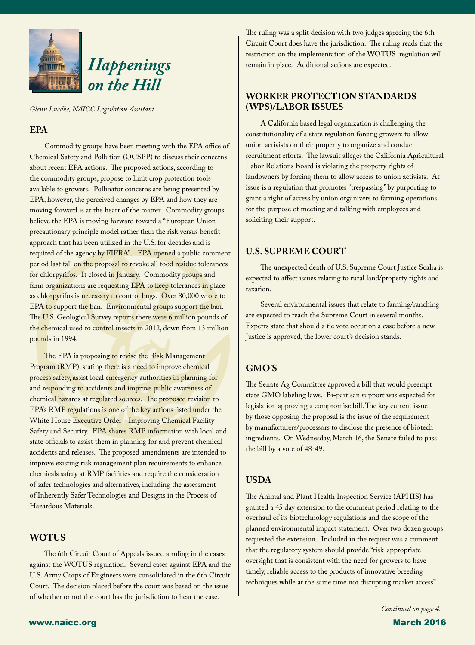

*Glenn Luedke, NAICC Legislative Assistant*

#### **EPA**

Commodity groups have been meeting with the EPA office of Chemical Safety and Pollution (OCSPP) to discuss their concerns about recent EPA actions. The proposed actions, according to the commodity groups, propose to limit crop protection tools available to growers. Pollinator concerns are being presented by EPA, however, the perceived changes by EPA and how they are moving forward is at the heart of the matter. Commodity groups believe the EPA is moving forward toward a "European Union precautionary principle model rather than the risk versus benefit approach that has been utilized in the U.S. for decades and is required of the agency by FIFRA". EPA opened a public comment period last fall on the proposal to revoke all food residue tolerances for chlorpyrifos. It closed in January. Commodity groups and farm organizations are requesting EPA to keep tolerances in place as chlorpyrifos is necessary to control bugs. Over 80,000 wrote to EPA to support the ban. Environmental groups support the ban. The U.S. Geological Survey reports there were 6 million pounds of the chemical used to control insects in 2012, down from 13 million pounds in 1994.

The EPA is proposing to revise the Risk Management Program (RMP), stating there is a need to improve chemical process safety, assist local emergency authorities in planning for and responding to accidents and improve public awareness of chemical hazards at regulated sources. The proposed revision to EPA's RMP regulations is one of the key actions listed under the White House Executive Order - Improving Chemical Facility Safety and Security. EPA shares RMP information with local and state officials to assist them in planning for and prevent chemical accidents and releases. The proposed amendments are intended to improve existing risk management plan requirements to enhance chemicals safety at RMP facilities and require the consideration of safer technologies and alternatives, including the assessment of Inherently Safer Technologies and Designs in the Process of Hazardous Materials.

#### **WOTUS**

The 6th Circuit Court of Appeals issued a ruling in the cases against the WOTUS regulation. Several cases against EPA and the U.S. Army Corps of Engineers were consolidated in the 6th Circuit Court. The decision placed before the court was based on the issue of whether or not the court has the jurisdiction to hear the case.

The ruling was a split decision with two judges agreeing the 6th Circuit Court does have the jurisdiction. The ruling reads that the restriction on the implementation of the WOTUS regulation will remain in place. Additional actions are expected.

#### **WORKER PROTECTION STANDARDS (WPS)/LABOR ISSUES**

A California based legal organization is challenging the constitutionality of a state regulation forcing growers to allow union activists on their property to organize and conduct recruitment efforts. The lawsuit alleges the California Agricultural Labor Relations Board is violating the property rights of landowners by forcing them to allow access to union activists. At issue is a regulation that promotes "trespassing" by purporting to grant a right of access by union organizers to farming operations for the purpose of meeting and talking with employees and soliciting their support.

#### **U.S. SUPREME COURT**

The unexpected death of U.S. Supreme Court Justice Scalia is expected to affect issues relating to rural land/property rights and taxation.

Several environmental issues that relate to farming/ranching are expected to reach the Supreme Court in several months. Experts state that should a tie vote occur on a case before a new Justice is approved, the lower court's decision stands.

#### **GMO'S**

The Senate Ag Committee approved a bill that would preempt state GMO labeling laws. Bi-partisan support was expected for legislation approving a compromise bill. The key current issue by those opposing the proposal is the issue of the requirement by manufacturers/processors to disclose the presence of biotech ingredients. On Wednesday, March 16, the Senate failed to pass the bill by a vote of 48-49.

#### **USDA**

The Animal and Plant Health Inspection Service (APHIS) has granted a 45 day extension to the comment period relating to the overhaul of its biotechnology regulations and the scope of the planned environmental impact statement. Over two dozen groups requested the extension. Included in the request was a comment that the regulatory system should provide "risk-appropriate oversight that is consistent with the need for growers to have timely, reliable access to the products of innovative breeding techniques while at the same time not disrupting market access".

*Continued on page 4.*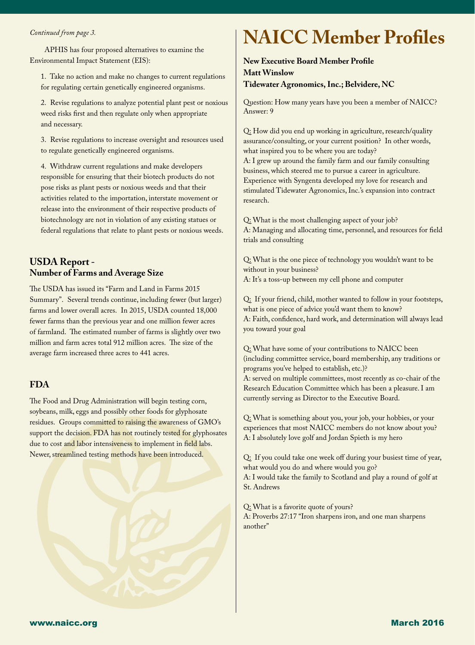l

APHIS has four proposed alternatives to examine the Environmental Impact Statement (EIS):

1. Take no action and make no changes to current regulations for regulating certain genetically engineered organisms.

2. Revise regulations to analyze potential plant pest or noxious weed risks first and then regulate only when appropriate and necessary.

3. Revise regulations to increase oversight and resources used to regulate genetically engineered organisms.

4. Withdraw current regulations and make developers responsible for ensuring that their biotech products do not pose risks as plant pests or noxious weeds and that their activities related to the importation, interstate movement or release into the environment of their respective products of biotechnology are not in violation of any existing statues or federal regulations that relate to plant pests or noxious weeds.

### **USDA Report - Number of Farms and Average Size**

The USDA has issued its "Farm and Land in Farms 2015 Summary". Several trends continue, including fewer (but larger) farms and lower overall acres. In 2015, USDA counted 18,000 fewer farms than the previous year and one million fewer acres of farmland. The estimated number of farms is slightly over two million and farm acres total 912 million acres. The size of the average farm increased three acres to 441 acres.

#### **FDA**

The Food and Drug Administration will begin testing corn, soybeans, milk, eggs and possibly other foods for glyphosate residues. Groups committed to raising the awareness of GMO's support the decision. FDA has not routinely tested for glyphosates due to cost and labor intensiveness to implement in field labs. Newer, streamlined testing methods have been introduced.

# *Continued from page 3.* **NAICC Member Profiles**

#### **New Executive Board Member Profile Matt Winslow Tidewater Agronomics, Inc.; Belvidere, NC**

Question: How many years have you been a member of NAICC? Answer: 9

Q: How did you end up working in agriculture, research/quality assurance/consulting, or your current position? In other words, what inspired you to be where you are today? A: I grew up around the family farm and our family consulting business, which steered me to pursue a career in agriculture. Experience with Syngenta developed my love for research and stimulated Tidewater Agronomics, Inc.'s expansion into contract research.

Q: What is the most challenging aspect of your job? A: Managing and allocating time, personnel, and resources for field trials and consulting

Q: What is the one piece of technology you wouldn't want to be without in your business? A: It's a toss-up between my cell phone and computer

Q: If your friend, child, mother wanted to follow in your footsteps, what is one piece of advice you'd want them to know? A: Faith, confidence, hard work, and determination will always lead you toward your goal

Q: What have some of your contributions to NAICC been (including committee service, board membership, any traditions or programs you've helped to establish, etc.)? A: served on multiple committees, most recently as co-chair of the Research Education Committee which has been a pleasure. I am currently serving as Director to the Executive Board.

Q: What is something about you, your job, your hobbies, or your experiences that most NAICC members do not know about you? A: I absolutely love golf and Jordan Spieth is my hero

Q: If you could take one week off during your busiest time of year, what would you do and where would you go? A: I would take the family to Scotland and play a round of golf at St. Andrews

Q: What is a favorite quote of yours? A: Proverbs 27:17 "Iron sharpens iron, and one man sharpens another"